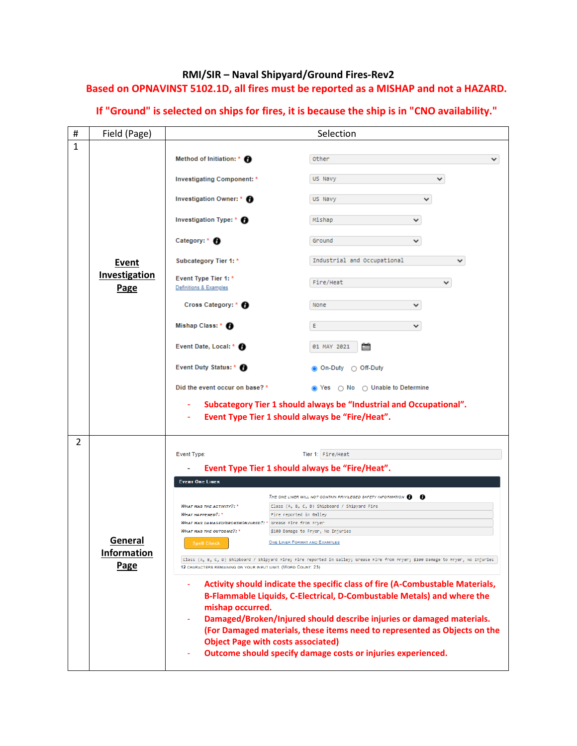## **RMI/SIR – Naval Shipyard/Ground Fires-Rev2 Based on OPNAVINST 5102.1D, all fires must be reported as a MISHAP and not a HAZARD.**

| # | Field (Page)          | Selection                                                                                                                                                                                          |                                                                                                                       |  |  |  |
|---|-----------------------|----------------------------------------------------------------------------------------------------------------------------------------------------------------------------------------------------|-----------------------------------------------------------------------------------------------------------------------|--|--|--|
| 1 |                       |                                                                                                                                                                                                    |                                                                                                                       |  |  |  |
|   |                       | Method of Initiation: * <b>O</b>                                                                                                                                                                   | Other<br>◡                                                                                                            |  |  |  |
|   |                       | Investigating Component: *                                                                                                                                                                         | US Navy<br>$\checkmark$                                                                                               |  |  |  |
|   |                       | Investigation Owner: * <b>D</b>                                                                                                                                                                    | US Navy<br>v                                                                                                          |  |  |  |
|   |                       | Investigation Type: * <sup>1</sup>                                                                                                                                                                 | Mishap<br>v                                                                                                           |  |  |  |
|   |                       | Category: * A                                                                                                                                                                                      | Ground<br>v                                                                                                           |  |  |  |
|   | Event                 | Subcategory Tier 1: *                                                                                                                                                                              | Industrial and Occupational<br>✓                                                                                      |  |  |  |
|   | Investigation<br>Page | Event Type Tier 1: *<br>Definitions & Examples                                                                                                                                                     | Fire/Heat<br>◡                                                                                                        |  |  |  |
|   |                       | Cross Category: * <sup>6</sup>                                                                                                                                                                     | None<br>$\checkmark$                                                                                                  |  |  |  |
|   |                       | Mishap Class: * <sup>6</sup>                                                                                                                                                                       | Ε<br>$\checkmark$                                                                                                     |  |  |  |
|   |                       | Event Date, Local: * <sup>1</sup>                                                                                                                                                                  | 01 MAY 2021                                                                                                           |  |  |  |
|   |                       | Event Duty Status: * <sup>6</sup>                                                                                                                                                                  | <b>◎ On-Duty ○ Off-Duty</b>                                                                                           |  |  |  |
|   |                       | Did the event occur on base? *                                                                                                                                                                     | s Yes  ○ No ○ Unable to Determine                                                                                     |  |  |  |
|   |                       |                                                                                                                                                                                                    | Subcategory Tier 1 should always be "Industrial and Occupational".<br>Event Type Tier 1 should always be "Fire/Heat". |  |  |  |
| 2 |                       |                                                                                                                                                                                                    |                                                                                                                       |  |  |  |
|   |                       | Event Type:                                                                                                                                                                                        | Tier 1: Fire/Heat                                                                                                     |  |  |  |
|   |                       | Event Type Tier 1 should always be "Fire/Heat".<br><b>EVENT ONE LINER</b>                                                                                                                          |                                                                                                                       |  |  |  |
|   |                       |                                                                                                                                                                                                    | THE ONE LINER WILL NOT CONTAIN PRIVILEGED SAFETY INFORMATION <b>O</b>                                                 |  |  |  |
|   |                       | <b>WHAT WAS THE ACTIVITY?: *</b><br><b><i>WHAT HAPPENED?:</i></b> *                                                                                                                                | Class (A, B, C, D) Shipboard / Shipyard Fire<br>Fire reported in Galley                                               |  |  |  |
|   | General               | WHAT WAS DAMAGED/BROKEN/INJURED?: * Grease Fire from Fryer                                                                                                                                         |                                                                                                                       |  |  |  |
|   |                       | <b>WHAT WAS THE OUTCOME?: *</b>                                                                                                                                                                    | \$100 Damage to Fryer, No Injuries                                                                                    |  |  |  |
|   | <b>Information</b>    | <b>Spell Check</b>                                                                                                                                                                                 | <b>ONE LINER FORMAT AND EXAMPLES</b>                                                                                  |  |  |  |
|   | <b>Page</b>           | Class (A, B, C, D) Shipboard / Shipyard Fire; Fire reported in Galley; Grease Fire from Fryer; \$100 Damage to Fryer, No Injuries<br>12 CHARACTERS REMAINING ON YOUR INPUT LIMIT. (WORD COUNT: 23) |                                                                                                                       |  |  |  |
|   |                       | Activity should indicate the specific class of fire (A-Combustable Materials,<br>B-Flammable Liquids, C-Electrical, D-Combustable Metals) and where the<br>mishap occurred.                        |                                                                                                                       |  |  |  |
|   |                       | Damaged/Broken/Injured should describe injuries or damaged materials.                                                                                                                              |                                                                                                                       |  |  |  |
|   |                       | (For Damaged materials, these items need to represented as Objects on the<br><b>Object Page with costs associated)</b>                                                                             |                                                                                                                       |  |  |  |
|   |                       |                                                                                                                                                                                                    | Outcome should specify damage costs or injuries experienced.                                                          |  |  |  |

## **If "Ground" is selected on ships for fires, it is because the ship is in "CNO availability."**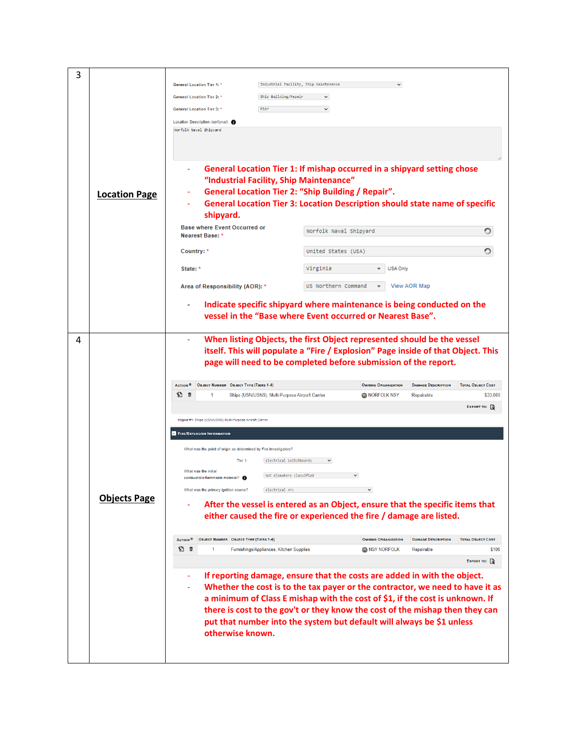| 3 |                      |                                                                                                                    |                                                                                    |                                                    |                                         |                                   |  |
|---|----------------------|--------------------------------------------------------------------------------------------------------------------|------------------------------------------------------------------------------------|----------------------------------------------------|-----------------------------------------|-----------------------------------|--|
|   |                      | <b>General Location Tier 1: *</b>                                                                                  | Industrial Facility, Ship Maintenance                                              |                                                    |                                         |                                   |  |
|   |                      | <b>General Location Tier 2: *</b>                                                                                  | Ship Building/Repair<br>$\checkmark$                                               |                                                    |                                         |                                   |  |
|   |                      | <b>General Location Tier 3: *</b>                                                                                  | Pier<br>$\checkmark$                                                               |                                                    |                                         |                                   |  |
|   |                      | Location Description (optional):                                                                                   |                                                                                    |                                                    |                                         |                                   |  |
|   |                      | Norfolk Naval Shipyard                                                                                             |                                                                                    |                                                    |                                         |                                   |  |
|   |                      |                                                                                                                    |                                                                                    |                                                    |                                         |                                   |  |
|   |                      |                                                                                                                    |                                                                                    |                                                    |                                         |                                   |  |
|   |                      |                                                                                                                    |                                                                                    |                                                    |                                         |                                   |  |
|   |                      | General Location Tier 1: If mishap occurred in a shipyard setting chose<br>"Industrial Facility, Ship Maintenance" |                                                                                    |                                                    |                                         |                                   |  |
|   | <b>Location Page</b> |                                                                                                                    | <b>General Location Tier 2: "Ship Building / Repair".</b>                          |                                                    |                                         |                                   |  |
|   |                      |                                                                                                                    | <b>General Location Tier 3: Location Description should state name of specific</b> |                                                    |                                         |                                   |  |
|   |                      | shipyard.                                                                                                          |                                                                                    |                                                    |                                         |                                   |  |
|   |                      | <b>Base where Event Occurred or</b>                                                                                | Norfolk Naval Shipyard                                                             |                                                    |                                         |                                   |  |
|   |                      | Nearest Base: *<br>Country: *                                                                                      | United States (USA)                                                                |                                                    |                                         |                                   |  |
|   |                      |                                                                                                                    |                                                                                    |                                                    |                                         |                                   |  |
|   |                      | State: *                                                                                                           | Virginia                                                                           | <b>USA Only</b>                                    |                                         |                                   |  |
|   |                      | Area of Responsibility (AOR): *                                                                                    | US Northern Command                                                                | $\scriptstyle\star$                                | <b>View AOR Map</b>                     |                                   |  |
|   |                      |                                                                                                                    | Indicate specific shipyard where maintenance is being conducted on the             |                                                    |                                         |                                   |  |
|   |                      |                                                                                                                    | vessel in the "Base where Event occurred or Nearest Base".                         |                                                    |                                         |                                   |  |
|   |                      |                                                                                                                    |                                                                                    |                                                    |                                         |                                   |  |
| 4 |                      |                                                                                                                    | When listing Objects, the first Object represented should be the vessel            |                                                    |                                         |                                   |  |
|   |                      |                                                                                                                    | itself. This will populate a "Fire / Explosion" Page inside of that Object. This   |                                                    |                                         |                                   |  |
|   |                      |                                                                                                                    | page will need to be completed before submission of the report.                    |                                                    |                                         |                                   |  |
|   |                      |                                                                                                                    |                                                                                    |                                                    |                                         |                                   |  |
|   |                      |                                                                                                                    |                                                                                    |                                                    |                                         |                                   |  |
|   |                      | <b>ACTION</b> <sup>O</sup><br>OBJECT NUMBER OBJECT TYPE (TIERS 1-4)                                                |                                                                                    | <b>OWNING ORGANIZATION</b>                         | <b>DAMAGE DESCRIPTION</b>               | <b>TOTAL OBJECT COST</b>          |  |
|   |                      | 心口<br>1                                                                                                            | Ships (USN/USNS), Multi-Purpose Aircraft Carrier                                   | <b>O NORFOLK NSY</b>                               | Repairable                              | \$33,000                          |  |
|   |                      |                                                                                                                    |                                                                                    |                                                    |                                         | EXPORT TO: $\Box$                 |  |
|   |                      | Object #1: Ships (USN/USNS) Multi-Purpose Aircraft Carrier                                                         |                                                                                    |                                                    |                                         |                                   |  |
|   |                      | <b>EIRE/EXPLOSION INFORMATION</b>                                                                                  |                                                                                    |                                                    |                                         |                                   |  |
|   |                      | What was the point of origin as determined by Fire Investigators?                                                  |                                                                                    |                                                    |                                         |                                   |  |
|   |                      | Tier 1:                                                                                                            | Electrical Switchboards<br>$\checkmark$                                            |                                                    |                                         |                                   |  |
|   |                      | What was the initial                                                                                               | Not elsewhere classified                                                           |                                                    |                                         |                                   |  |
|   |                      | combustible/flammable material? +                                                                                  |                                                                                    |                                                    |                                         |                                   |  |
|   |                      | What was the primary ignition source?                                                                              | Electrical Arc                                                                     |                                                    |                                         |                                   |  |
|   | <b>Objects Page</b>  |                                                                                                                    | After the vessel is entered as an Object, ensure that the specific items that      |                                                    |                                         |                                   |  |
|   |                      |                                                                                                                    | either caused the fire or experienced the fire / damage are listed.                |                                                    |                                         |                                   |  |
|   |                      |                                                                                                                    |                                                                                    |                                                    |                                         |                                   |  |
|   |                      | <b>OBJECT NUMBER OBJECT TYPE (TIERS 1-4)</b><br>ACTION <sup>O</sup><br>心 き<br>1                                    | Furnishings/Appliances, Kitchen Supplies                                           | <b>OWNING ORGANIZATION</b><br><b>O NSY NORFOLK</b> | <b>DAMAGE DESCRIPTION</b><br>Repairable | <b>TOTAL OBJECT COST</b><br>\$100 |  |
|   |                      |                                                                                                                    |                                                                                    |                                                    |                                         | EXPORT TO: $\mathbb{Q}$           |  |
|   |                      |                                                                                                                    |                                                                                    |                                                    |                                         |                                   |  |
|   |                      |                                                                                                                    | If reporting damage, ensure that the costs are added in with the object.           |                                                    |                                         |                                   |  |
|   |                      |                                                                                                                    | Whether the cost is to the tax payer or the contractor, we need to have it as      |                                                    |                                         |                                   |  |
|   |                      |                                                                                                                    | a minimum of Class E mishap with the cost of \$1, if the cost is unknown. If       |                                                    |                                         |                                   |  |
|   |                      |                                                                                                                    | there is cost to the gov't or they know the cost of the mishap then they can       |                                                    |                                         |                                   |  |
|   |                      |                                                                                                                    | put that number into the system but default will always be \$1 unless              |                                                    |                                         |                                   |  |
|   |                      | otherwise known.                                                                                                   |                                                                                    |                                                    |                                         |                                   |  |